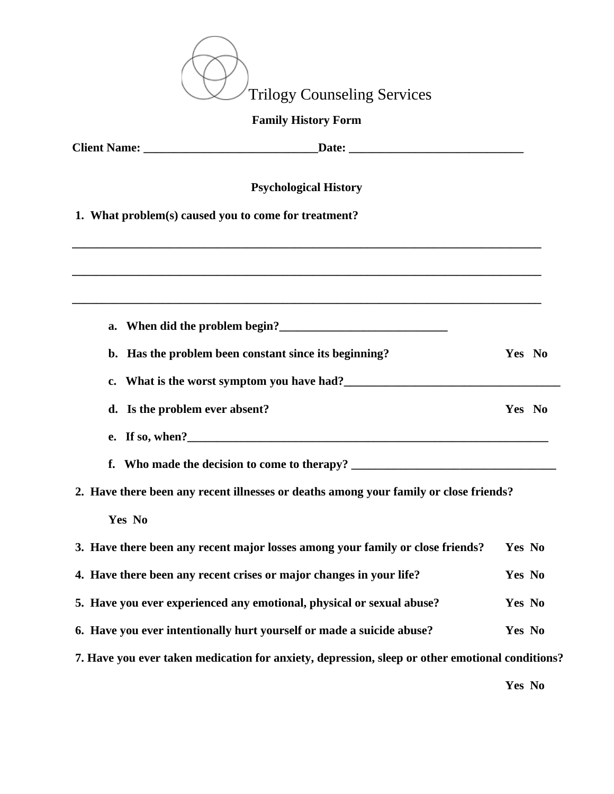

## **Family History Form**

| <b>Psychological History</b>                                                                                      |        |  |
|-------------------------------------------------------------------------------------------------------------------|--------|--|
| 1. What problem(s) caused you to come for treatment?                                                              |        |  |
| ,我们也不能在这里的时候,我们也不能在这里的时候,我们也不能会在这里的时候,我们也不能会在这里的时候,我们也不能会在这里的时候,我们也不能会在这里的时候,我们也不                                 |        |  |
|                                                                                                                   |        |  |
| a. When did the problem begin?                                                                                    |        |  |
| b. Has the problem been constant since its beginning?                                                             | Yes No |  |
| What is the worst symptom you have had?<br><u>Letting</u> the state of the symptom you have had?<br>$c_{\bullet}$ |        |  |
| d. Is the problem ever absent?                                                                                    | Yes No |  |
|                                                                                                                   |        |  |
|                                                                                                                   |        |  |
| 2. Have there been any recent illnesses or deaths among your family or close friends?                             |        |  |
| Yes No                                                                                                            |        |  |
| 3. Have there been any recent major losses among your family or close friends?                                    | Yes No |  |
| 4. Have there been any recent crises or major changes in your life?                                               | Yes No |  |
| 5. Have you ever experienced any emotional, physical or sexual abuse?                                             | Yes No |  |
| 6. Have you ever intentionally hurt yourself or made a suicide abuse?                                             | Yes No |  |
| 7. Have you ever taken medication for anxiety, depression, sleep or other emotional conditions?                   |        |  |

**Yes No**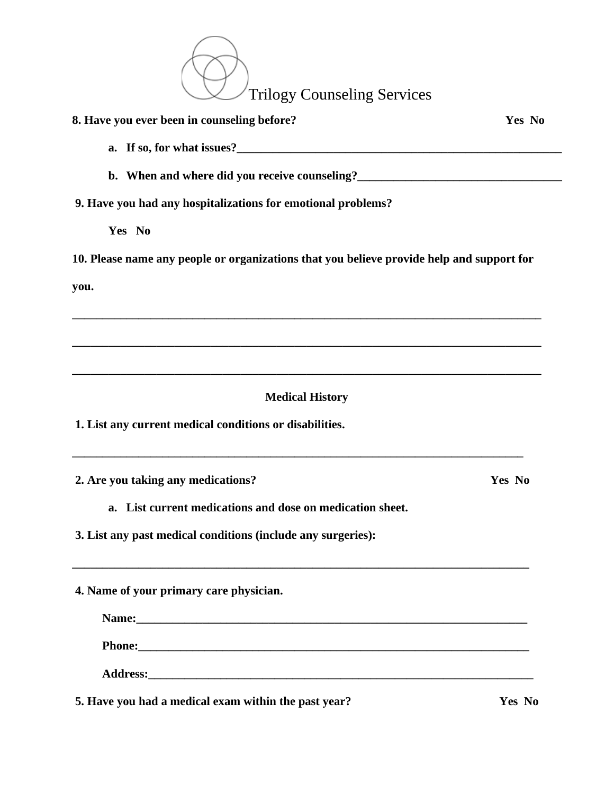Trilogy Counseling Services

| 8. Have you ever been in counseling before?                                                                                                                                                                                    | Yes No |
|--------------------------------------------------------------------------------------------------------------------------------------------------------------------------------------------------------------------------------|--------|
|                                                                                                                                                                                                                                |        |
| b. When and where did you receive counseling?<br><u>Letting</u> 2                                                                                                                                                              |        |
| 9. Have you had any hospitalizations for emotional problems?                                                                                                                                                                   |        |
| Yes No                                                                                                                                                                                                                         |        |
| 10. Please name any people or organizations that you believe provide help and support for                                                                                                                                      |        |
| you.                                                                                                                                                                                                                           |        |
|                                                                                                                                                                                                                                |        |
|                                                                                                                                                                                                                                |        |
|                                                                                                                                                                                                                                |        |
| <b>Medical History</b>                                                                                                                                                                                                         |        |
| 1. List any current medical conditions or disabilities.                                                                                                                                                                        |        |
|                                                                                                                                                                                                                                |        |
| 2. Are you taking any medications?                                                                                                                                                                                             | Yes No |
| a. List current medications and dose on medication sheet.                                                                                                                                                                      |        |
| 3. List any past medical conditions (include any surgeries):                                                                                                                                                                   |        |
|                                                                                                                                                                                                                                |        |
| 4. Name of your primary care physician.                                                                                                                                                                                        |        |
|                                                                                                                                                                                                                                |        |
| Phone: Note: 2008. The Commission of the Commission of the Commission of the Commission of the Commission of the Commission of the Commission of the Commission of the Commission of the Commission of the Commission of the C |        |
|                                                                                                                                                                                                                                |        |
| 5. Have you had a medical exam within the past year?                                                                                                                                                                           | Yes No |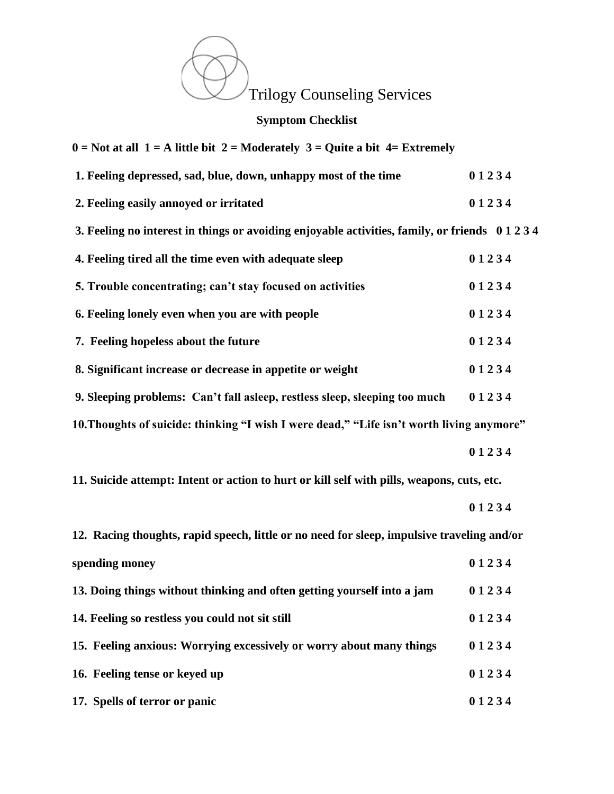

## **Symptom Checklist**

| $0 = Not$ at all $1 = A$ little bit $2 = Modern$ and $3 = Quite$ a bit $4 = Extremely$      |       |
|---------------------------------------------------------------------------------------------|-------|
| 1. Feeling depressed, sad, blue, down, unhappy most of the time                             | 01234 |
| 2. Feeling easily annoyed or irritated                                                      | 01234 |
| 3. Feeling no interest in things or avoiding enjoyable activities, family, or friends 01234 |       |
| 4. Feeling tired all the time even with adequate sleep                                      | 01234 |
| 5. Trouble concentrating; can't stay focused on activities                                  | 01234 |
| 6. Feeling lonely even when you are with people                                             | 01234 |
| 7. Feeling hopeless about the future                                                        | 01234 |
| 8. Significant increase or decrease in appetite or weight                                   | 01234 |
| 9. Sleeping problems: Can't fall asleep, restless sleep, sleeping too much                  | 01234 |
| 10. Thoughts of suicide: thinking "I wish I were dead," "Life isn't worth living anymore"   |       |
|                                                                                             | 01234 |
| 11. Suicide attempt: Intent or action to hurt or kill self with pills, weapons, cuts, etc.  |       |
|                                                                                             | 01234 |
| 12. Racing thoughts, rapid speech, little or no need for sleep, impulsive traveling and/or  |       |
| spending money                                                                              | 01234 |
| 13. Doing things without thinking and often getting yourself into a jam                     | 01234 |
| 14. Feeling so restless you could not sit still                                             | 01234 |
| 15. Feeling anxious: Worrying excessively or worry about many things                        | 01234 |
| 16. Feeling tense or keyed up                                                               | 01234 |
| 17. Spells of terror or panic                                                               | 01234 |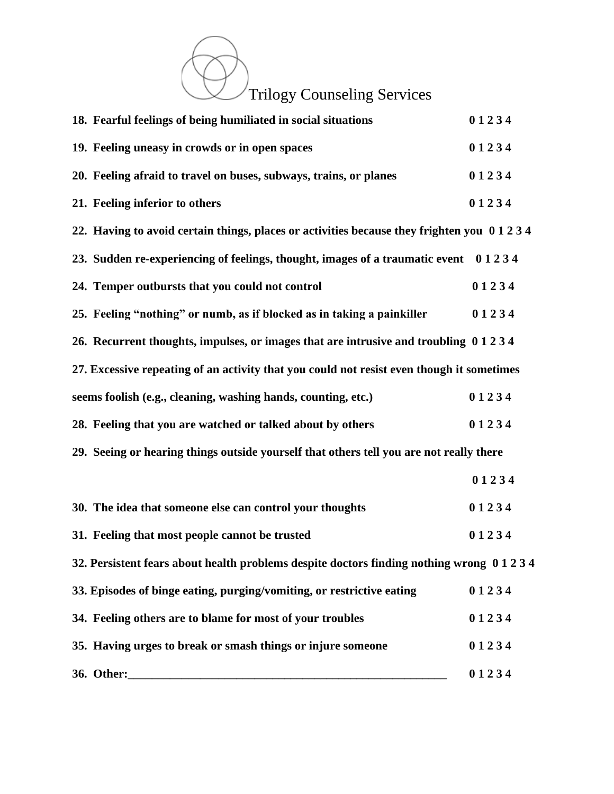Trilogy Counseling Services

|                                | 18. Fearful feelings of being humiliated in social situations                                | 01234 |
|--------------------------------|----------------------------------------------------------------------------------------------|-------|
|                                | 19. Feeling uneasy in crowds or in open spaces                                               | 01234 |
|                                | 20. Feeling afraid to travel on buses, subways, trains, or planes                            | 01234 |
| 21. Feeling inferior to others |                                                                                              | 01234 |
|                                | 22. Having to avoid certain things, places or activities because they frighten you 0 1 2 3 4 |       |
|                                | 23. Sudden re-experiencing of feelings, thought, images of a traumatic event 01234           |       |
|                                | 24. Temper outbursts that you could not control                                              | 01234 |
|                                | 25. Feeling "nothing" or numb, as if blocked as in taking a painkiller                       | 01234 |
|                                | 26. Recurrent thoughts, impulses, or images that are intrusive and troubling 0 1 2 3 4       |       |
|                                | 27. Excessive repeating of an activity that you could not resist even though it sometimes    |       |
|                                | seems foolish (e.g., cleaning, washing hands, counting, etc.)                                | 01234 |
|                                | 28. Feeling that you are watched or talked about by others                                   | 01234 |
|                                | 29. Seeing or hearing things outside yourself that others tell you are not really there      |       |
|                                |                                                                                              | 01234 |
|                                | 30. The idea that someone else can control your thoughts                                     | 01234 |
|                                | 31. Feeling that most people cannot be trusted                                               | 01234 |
|                                | 32. Persistent fears about health problems despite doctors finding nothing wrong 01234       |       |
|                                | 33. Episodes of binge eating, purging/vomiting, or restrictive eating                        | 01234 |
|                                | 34. Feeling others are to blame for most of your troubles                                    | 01234 |
|                                | 35. Having urges to break or smash things or injure someone                                  | 01234 |
| 36. Other:                     |                                                                                              | 01234 |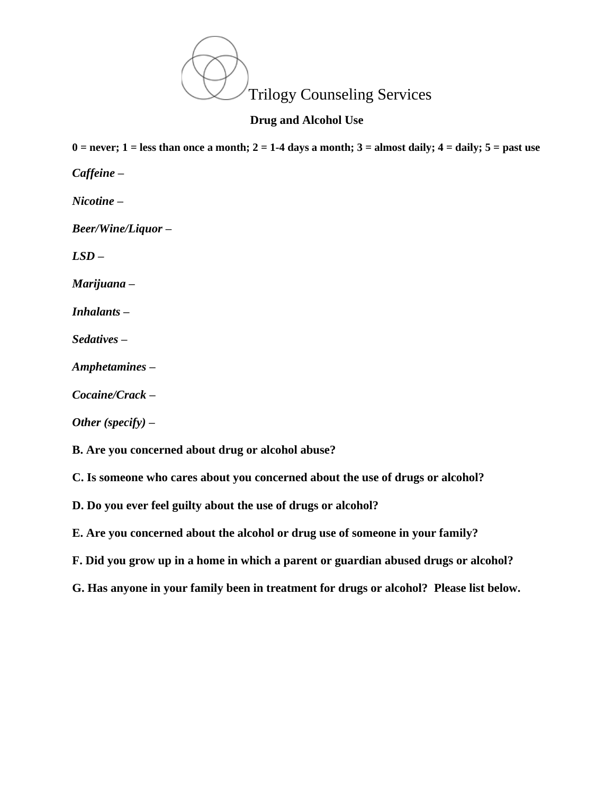

**Drug and Alcohol Use**

 $0 =$  never;  $1 =$  less than once a month;  $2 = 1-4$  days a month;  $3 =$  almost daily;  $4 =$  daily;  $5 =$  past use

*Caffeine –*

*Nicotine –*

*Beer/Wine/Liquor –*

*LSD –*

*Marijuana –*

*Inhalants –*

*Sedatives –*

*Amphetamines –*

*Cocaine/Crack –*

*Other (specify) –*

**B. Are you concerned about drug or alcohol abuse?**

**C. Is someone who cares about you concerned about the use of drugs or alcohol?**

**D. Do you ever feel guilty about the use of drugs or alcohol?**

**E. Are you concerned about the alcohol or drug use of someone in your family?**

**F. Did you grow up in a home in which a parent or guardian abused drugs or alcohol?**

**G. Has anyone in your family been in treatment for drugs or alcohol? Please list below.**